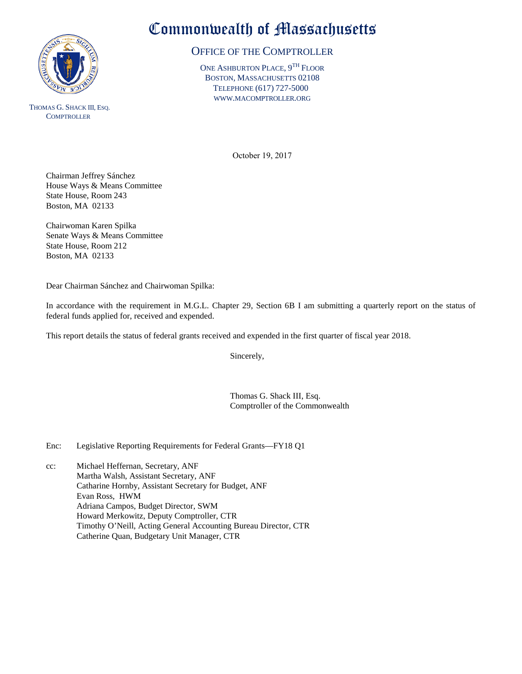

THOMAS G. SHACK III, ESQ. **COMPTROLLER** 

# Commonwealth of Massachusetts

#### OFFICE OF THE COMPTROLLER

ONE ASHBURTON PLACE,  $9^{\text{TH}}$  Floor BOSTON, MASSACHUSETTS 02108 TELEPHONE (617) 727-5000 WWW.MACOMPTROLLER.ORG

October 19, 2017

Chairman Jeffrey Sánchez House Ways & Means Committee State House, Room 243 Boston, MA 02133

Chairwoman Karen Spilka Senate Ways & Means Committee State House, Room 212 Boston, MA 02133

Dear Chairman Sánchez and Chairwoman Spilka:

In accordance with the requirement in M.G.L. Chapter 29, Section 6B I am submitting a quarterly report on the status of federal funds applied for, received and expended.

This report details the status of federal grants received and expended in the first quarter of fiscal year 2018.

Sincerely,

Thomas G. Shack III, Esq. Comptroller of the Commonwealth

Enc: Legislative Reporting Requirements for Federal Grants—FY18 Q1

cc: Michael Heffernan, Secretary, ANF Martha Walsh, Assistant Secretary, ANF Catharine Hornby, Assistant Secretary for Budget, ANF Evan Ross, HWM Adriana Campos, Budget Director, SWM Howard Merkowitz, Deputy Comptroller, CTR Timothy O'Neill, Acting General Accounting Bureau Director, CTR Catherine Quan, Budgetary Unit Manager, CTR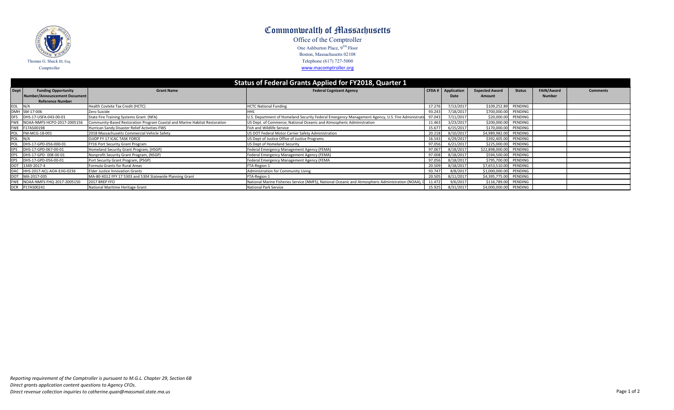| Status of Federal Grants Applied for FY2018, Quarter 1 |                                 |                                                                            |                                                                                                     |        |             |                         |               |                   |                 |  |  |
|--------------------------------------------------------|---------------------------------|----------------------------------------------------------------------------|-----------------------------------------------------------------------------------------------------|--------|-------------|-------------------------|---------------|-------------------|-----------------|--|--|
| Dept                                                   | <b>Funding Opportunity</b>      | <b>Grant Name</b>                                                          | <b>Federal Cognizant Agency</b>                                                                     | CFDA#  | Application | <b>Expected Award</b>   | <b>Status</b> | <b>FAIN/Award</b> | <b>Comments</b> |  |  |
|                                                        | Number/Announcement Document    |                                                                            |                                                                                                     |        | Date        | <b>Amount</b>           |               | <b>Number</b>     |                 |  |  |
|                                                        | <b>Reference Number</b>         |                                                                            |                                                                                                     |        |             |                         |               |                   |                 |  |  |
|                                                        | EOL N/A                         | Health Covtete Tax Credit (HCTC)                                           | <b>HCTC National Funding</b>                                                                        | 17.276 | 7/13/2017   | \$109,252.89            | PENDING       |                   |                 |  |  |
|                                                        | DMH SM-17-006                   | Zero Suicide                                                               |                                                                                                     | 93.243 | 7/18/2017   | \$700,000.00            | PENDING       |                   |                 |  |  |
| <b>DFS</b>                                             | DHS-17-USFA-043-00-01           | State Fire Training Systems Grant (NFA)                                    | U.S. Department of Homeland Security Federal Emergency Management Agency, U.S. Fire Administration  | 97.043 | 7/11/2017   | \$20,000.00             | PENDING       |                   |                 |  |  |
|                                                        | FWE NOAA-NMFS-HCPO-2017-2005156 | Community-Based Restoration Program Coastal and Marine Habitat Restoration | US Dept. of Commerce; National Oceanic and Atmospheric Administration                               | 11.463 | 3/23/2017   | \$200,000.00            | PENDING       |                   |                 |  |  |
|                                                        | FWE F17AS00198                  | Hurrican Sandy Disaster Relief Activities-FWS                              | Fish and Wildlife Service                                                                           | 15.677 | 6/15/2017   | \$170,000.00            | PENDING       |                   |                 |  |  |
| POL                                                    | FM-MCG-18-001                   | 2018 Massachusetts Commercial Vehicle Safety                               | US DOT Federal Motor Carrier Safety Administration                                                  | 20.218 | 8/10/2017   | \$4,989,982.00          | PENDING       |                   |                 |  |  |
| POL                                                    | N/A                             | OJJDP FY 17 ICAC TASK FORCE                                                | US Dept of Justice Office of Justice Programs                                                       | 16.543 | 6/29/2017   | \$392,405.00            | PENDING       |                   |                 |  |  |
| POL                                                    | DHS-17-GPD-056-000-01           | FY16 Port Security Grant Program                                           | US Dept of Homeland Security                                                                        | 97.056 | 6/21/2017   | \$225,000.00            | PENDING       |                   |                 |  |  |
| <b>EPS</b>                                             | DHS-17-GPD-067-00-01            | Homeland Security Grant Program, (HSGP)                                    | Federal Emergency Management Agency (FEMA)                                                          | 97.067 | 8/18/2017   | \$22,898,000.00 PENDING |               |                   |                 |  |  |
| <b>EPS</b>                                             | DHS-17-GPD-008-00-01            | Nonprofit Security Grant Program, (NSGP)                                   | Federal Emergency Management Agency (FEMA)                                                          | 97.008 | 8/18/2017   | \$594,500.00            | PENDING       |                   |                 |  |  |
| <b>EPS</b>                                             | DHS-17-GPD-056-00-01            | Port Security Grant Program, (PSGP)                                        | Federal Emergency Management Agency (FEMA                                                           | 97.056 | 8/18/2017   | \$795,700.00 PENDING    |               |                   |                 |  |  |
| DOT                                                    | 1349-2017-4                     | Formula Grants for Rural Areas                                             | FTA-Region 1                                                                                        | 20.509 | 8/18/2017   | \$7,653,510.00 PENDING  |               |                   |                 |  |  |
|                                                        | DAC HHS-2017-ACL-AOA-EJIG-0236  | <b>Elder Justice Innovation Grants</b>                                     | Administration for Community Living                                                                 | 93.747 | 8/8/2017    | \$1,000,000.00 PENDING  |               |                   |                 |  |  |
|                                                        | DOT MA-2017-035                 | MA-80-X012 FFY 17 5303 and 5304 Statewide Planning Grant                   | FTA-Region 1                                                                                        | 20.505 | 8/11/2017   | \$4,395,775.00 PENDING  |               |                   |                 |  |  |
|                                                        | FWE NOAA-NMFS-FHQ-2017-2005150  | 2017 BREP FFO                                                              | National Marine Fisheries Service (NMFS), National Oceanic and Atmospheric Administration (NOAA), [ | 11.472 | 9/6/2017    | \$116,789.00 PENDING    |               |                   |                 |  |  |
|                                                        |                                 | National Maritime Heritage Grant                                           | <b>National Park Service</b>                                                                        | 15.925 | 8/31/2017   | \$4,000,000.00 PENDING  |               |                   |                 |  |  |



### **Status of Federal Grants Applied for FY2018, Quarter 1**

# Commonwealth of Massachusetts

Office of the Comptroller One Ashburton Place,  $9^{TH}$  Floor Boston, Massachusetts 02108 Telephone (617) 727-5000 [w](http://www.macomptroller.org/)ww.macomptroller.org